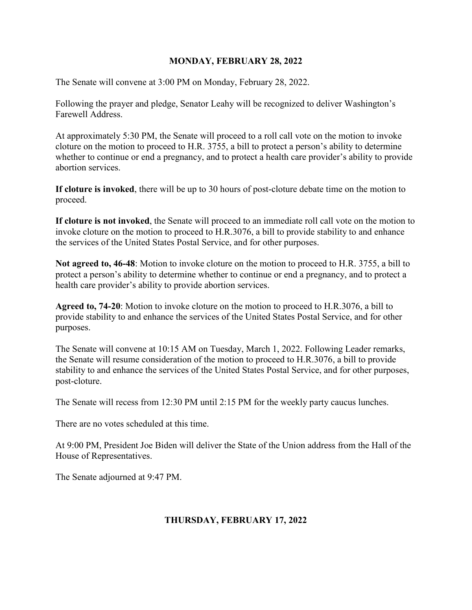#### **MONDAY, FEBRUARY 28, 2022**

The Senate will convene at 3:00 PM on Monday, February 28, 2022.

Following the prayer and pledge, Senator Leahy will be recognized to deliver Washington's Farewell Address.

At approximately 5:30 PM, the Senate will proceed to a roll call vote on the motion to invoke cloture on the motion to proceed to H.R. 3755, a bill to protect a person's ability to determine whether to continue or end a pregnancy, and to protect a health care provider's ability to provide abortion services.

**If cloture is invoked**, there will be up to 30 hours of post-cloture debate time on the motion to proceed.

**If cloture is not invoked**, the Senate will proceed to an immediate roll call vote on the motion to invoke cloture on the motion to proceed to H.R.3076, a bill to provide stability to and enhance the services of the United States Postal Service, and for other purposes.

**Not agreed to, 46-48**: Motion to invoke cloture on the motion to proceed to H.R. 3755, a bill to protect a person's ability to determine whether to continue or end a pregnancy, and to protect a health care provider's ability to provide abortion services.

**Agreed to, 74-20**: Motion to invoke cloture on the motion to proceed to H.R.3076, a bill to provide stability to and enhance the services of the United States Postal Service, and for other purposes.

The Senate will convene at 10:15 AM on Tuesday, March 1, 2022. Following Leader remarks, the Senate will resume consideration of the motion to proceed to H.R.3076, a bill to provide stability to and enhance the services of the United States Postal Service, and for other purposes, post-cloture.

The Senate will recess from 12:30 PM until 2:15 PM for the weekly party caucus lunches.

There are no votes scheduled at this time.

At 9:00 PM, President Joe Biden will deliver the State of the Union address from the Hall of the House of Representatives.

The Senate adjourned at 9:47 PM.

## **THURSDAY, FEBRUARY 17, 2022**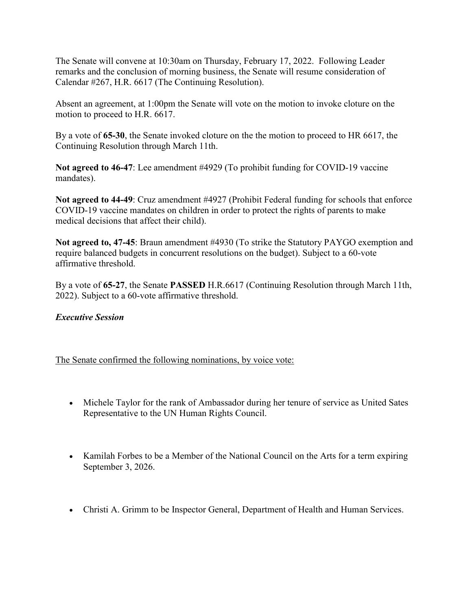The Senate will convene at 10:30am on Thursday, February 17, 2022. Following Leader remarks and the conclusion of morning business, the Senate will resume consideration of Calendar #267, H.R. 6617 (The Continuing Resolution).

Absent an agreement, at 1:00pm the Senate will vote on the motion to invoke cloture on the motion to proceed to H.R. 6617.

By a vote of **65-30**, the Senate invoked cloture on the the motion to proceed to HR 6617, the Continuing Resolution through March 11th.

**Not agreed to 46-47**: Lee amendment #4929 (To prohibit funding for COVID-19 vaccine mandates).

**Not agreed to 44-49**: Cruz amendment #4927 (Prohibit Federal funding for schools that enforce COVID-19 vaccine mandates on children in order to protect the rights of parents to make medical decisions that affect their child).

**Not agreed to, 47-45**: Braun amendment #4930 (To strike the Statutory PAYGO exemption and require balanced budgets in concurrent resolutions on the budget). Subject to a 60-vote affirmative threshold.

By a vote of **65-27**, the Senate **PASSED** H.R.6617 (Continuing Resolution through March 11th, 2022). Subject to a 60-vote affirmative threshold.

## *Executive Session*

The Senate confirmed the following nominations, by voice vote:

- Michele Taylor for the rank of Ambassador during her tenure of service as United Sates Representative to the UN Human Rights Council.
- Kamilah Forbes to be a Member of the National Council on the Arts for a term expiring September 3, 2026.
- Christi A. Grimm to be Inspector General, Department of Health and Human Services.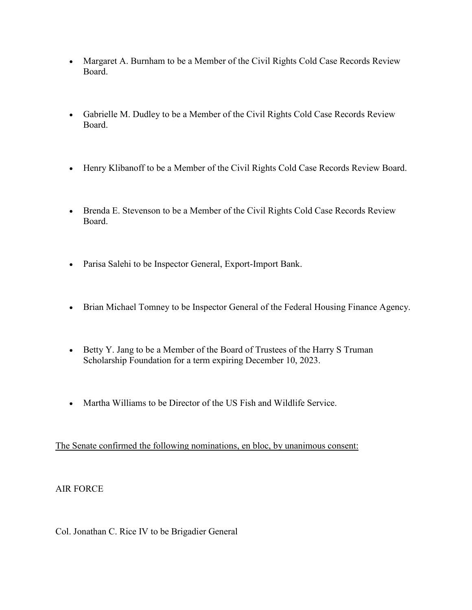- Margaret A. Burnham to be a Member of the Civil Rights Cold Case Records Review Board.
- Gabrielle M. Dudley to be a Member of the Civil Rights Cold Case Records Review Board.
- Henry Klibanoff to be a Member of the Civil Rights Cold Case Records Review Board.
- Brenda E. Stevenson to be a Member of the Civil Rights Cold Case Records Review Board.
- Parisa Salehi to be Inspector General, Export-Import Bank.
- Brian Michael Tomney to be Inspector General of the Federal Housing Finance Agency.
- Betty Y. Jang to be a Member of the Board of Trustees of the Harry S Truman Scholarship Foundation for a term expiring December 10, 2023.
- Martha Williams to be Director of the US Fish and Wildlife Service.

The Senate confirmed the following nominations, en bloc, by unanimous consent:

## AIR FORCE

Col. Jonathan C. Rice IV to be Brigadier General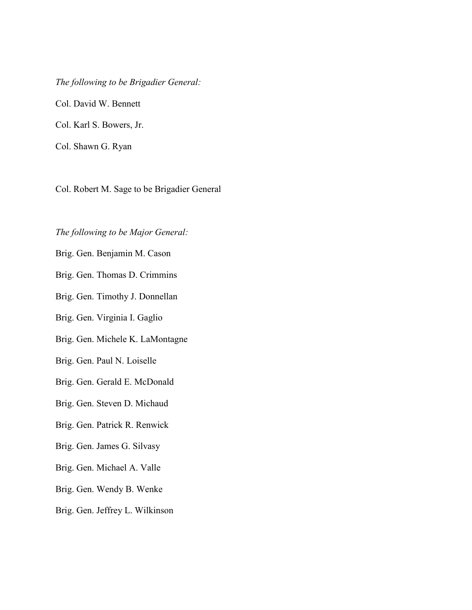*The following to be Brigadier General:* Col. David W. Bennett Col. Karl S. Bowers, Jr.

Col. Shawn G. Ryan

Col. Robert M. Sage to be Brigadier General

## *The following to be Major General:*

Brig. Gen. Benjamin M. Cason

Brig. Gen. Thomas D. Crimmins

Brig. Gen. Timothy J. Donnellan

Brig. Gen. Virginia I. Gaglio

Brig. Gen. Michele K. LaMontagne

Brig. Gen. Paul N. Loiselle

Brig. Gen. Gerald E. McDonald

Brig. Gen. Steven D. Michaud

Brig. Gen. Patrick R. Renwick

Brig. Gen. James G. Silvasy

Brig. Gen. Michael A. Valle

Brig. Gen. Wendy B. Wenke

Brig. Gen. Jeffrey L. Wilkinson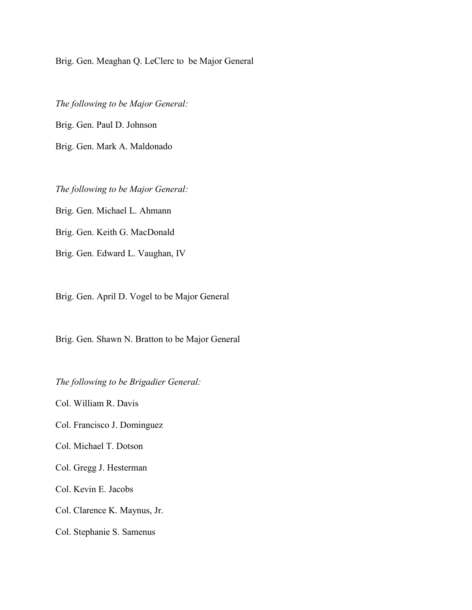Brig. Gen. Meaghan Q. LeClerc to be Major General

*The following to be Major General:* Brig. Gen. Paul D. Johnson Brig. Gen. Mark A. Maldonado

*The following to be Major General:* Brig. Gen. Michael L. Ahmann Brig. Gen. Keith G. MacDonald Brig. Gen. Edward L. Vaughan, IV

Brig. Gen. April D. Vogel to be Major General

Brig. Gen. Shawn N. Bratton to be Major General

*The following to be Brigadier General:*

Col. William R. Davis

Col. Francisco J. Dominguez

Col. Michael T. Dotson

Col. Gregg J. Hesterman

Col. Kevin E. Jacobs

Col. Clarence K. Maynus, Jr.

Col. Stephanie S. Samenus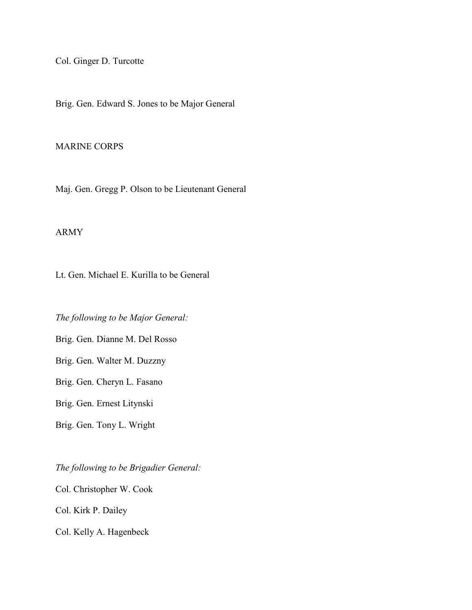Col. Ginger D. Turcotte

Brig. Gen. Edward S. Jones to be Major General

#### MARINE CORPS

Maj. Gen. Gregg P. Olson to be Lieutenant General

#### ARMY

Lt. Gen. Michael E. Kurilla to be General

*The following to be Major General:*

Brig. Gen. Dianne M. Del Rosso

Brig. Gen. Walter M. Duzzny

Brig. Gen. Cheryn L. Fasano

Brig. Gen. Ernest Litynski

Brig. Gen. Tony L. Wright

*The following to be Brigadier General:* Col. Christopher W. Cook Col. Kirk P. Dailey Col. Kelly A. Hagenbeck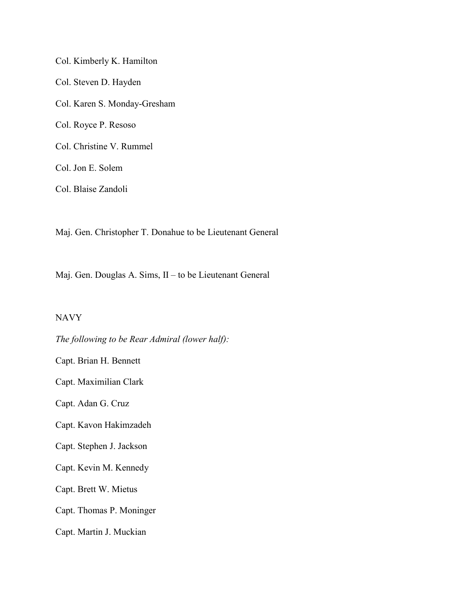Col. Kimberly K. Hamilton Col. Steven D. Hayden Col. Karen S. Monday-Gresham Col. Royce P. Resoso Col. Christine V. Rummel Col. Jon E. Solem Col. Blaise Zandoli

Maj. Gen. Christopher T. Donahue to be Lieutenant General

Maj. Gen. Douglas A. Sims, II – to be Lieutenant General

#### NAVY

*The following to be Rear Admiral (lower half):* Capt. Brian H. Bennett Capt. Maximilian Clark Capt. Adan G. Cruz Capt. Kavon Hakimzadeh Capt. Stephen J. Jackson Capt. Kevin M. Kennedy Capt. Brett W. Mietus Capt. Thomas P. Moninger Capt. Martin J. Muckian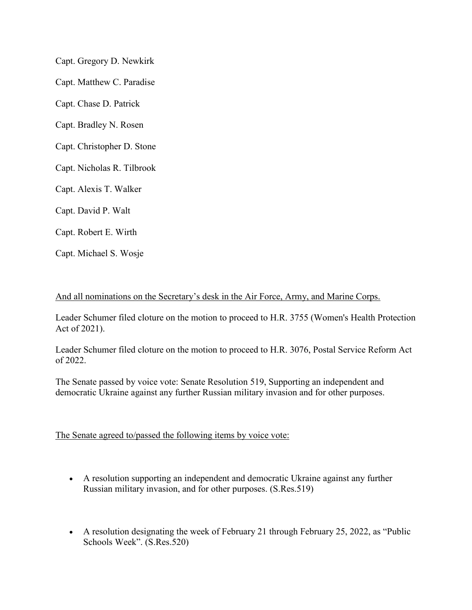Capt. Gregory D. Newkirk Capt. Matthew C. Paradise Capt. Chase D. Patrick Capt. Bradley N. Rosen Capt. Christopher D. Stone Capt. Nicholas R. Tilbrook Capt. Alexis T. Walker Capt. David P. Walt Capt. Robert E. Wirth Capt. Michael S. Wosje

#### And all nominations on the Secretary's desk in the Air Force, Army, and Marine Corps.

Leader Schumer filed cloture on the motion to proceed to H.R. 3755 (Women's Health Protection Act of 2021).

Leader Schumer filed cloture on the motion to proceed to H.R. 3076, Postal Service Reform Act of 2022.

The Senate passed by voice vote: Senate Resolution 519, Supporting an independent and democratic Ukraine against any further Russian military invasion and for other purposes.

The Senate agreed to/passed the following items by voice vote:

- A resolution supporting an independent and democratic Ukraine against any further Russian military invasion, and for other purposes. (S.Res.519)
- A resolution designating the week of February 21 through February 25, 2022, as "Public Schools Week". (S.Res.520)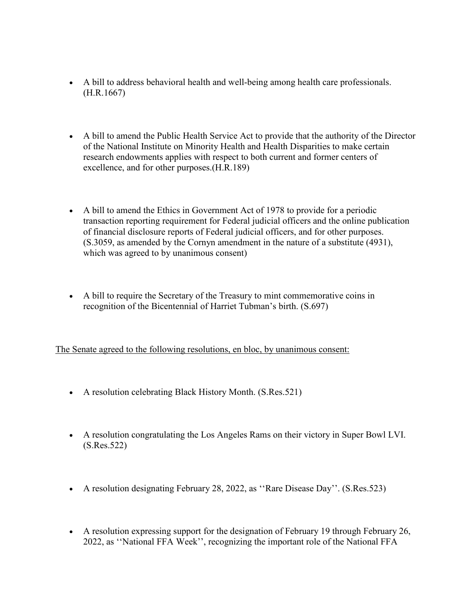- A bill to address behavioral health and well-being among health care professionals. (H.R.1667)
- A bill to amend the Public Health Service Act to provide that the authority of the Director of the National Institute on Minority Health and Health Disparities to make certain research endowments applies with respect to both current and former centers of excellence, and for other purposes.(H.R.189)
- A bill to amend the Ethics in Government Act of 1978 to provide for a periodic transaction reporting requirement for Federal judicial officers and the online publication of financial disclosure reports of Federal judicial officers, and for other purposes. (S.3059, as amended by the Cornyn amendment in the nature of a substitute (4931), which was agreed to by unanimous consent)
- A bill to require the Secretary of the Treasury to mint commemorative coins in recognition of the Bicentennial of Harriet Tubman's birth. (S.697)

The Senate agreed to the following resolutions, en bloc, by unanimous consent:

- A resolution celebrating Black History Month. (S.Res.521)
- A resolution congratulating the Los Angeles Rams on their victory in Super Bowl LVI. (S.Res.522)
- A resolution designating February 28, 2022, as "Rare Disease Day". (S.Res.523)
- A resolution expressing support for the designation of February 19 through February 26, 2022, as ''National FFA Week'', recognizing the important role of the National FFA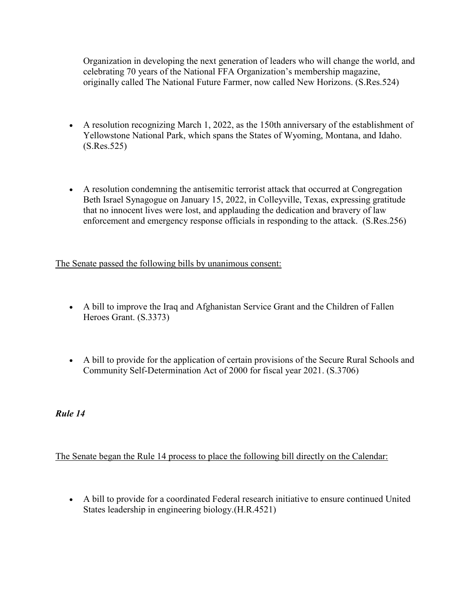Organization in developing the next generation of leaders who will change the world, and celebrating 70 years of the National FFA Organization's membership magazine, originally called The National Future Farmer, now called New Horizons. (S.Res.524)

- A resolution recognizing March 1, 2022, as the 150th anniversary of the establishment of Yellowstone National Park, which spans the States of Wyoming, Montana, and Idaho. (S.Res.525)
- A resolution condemning the antisemitic terrorist attack that occurred at Congregation Beth Israel Synagogue on January 15, 2022, in Colleyville, Texas, expressing gratitude that no innocent lives were lost, and applauding the dedication and bravery of law enforcement and emergency response officials in responding to the attack. (S.Res.256)

The Senate passed the following bills by unanimous consent:

- A bill to improve the Iraq and Afghanistan Service Grant and the Children of Fallen Heroes Grant. (S.3373)
- A bill to provide for the application of certain provisions of the Secure Rural Schools and Community Self-Determination Act of 2000 for fiscal year 2021. (S.3706)

*Rule 14*

The Senate began the Rule 14 process to place the following bill directly on the Calendar:

• A bill to provide for a coordinated Federal research initiative to ensure continued United States leadership in engineering biology.(H.R.4521)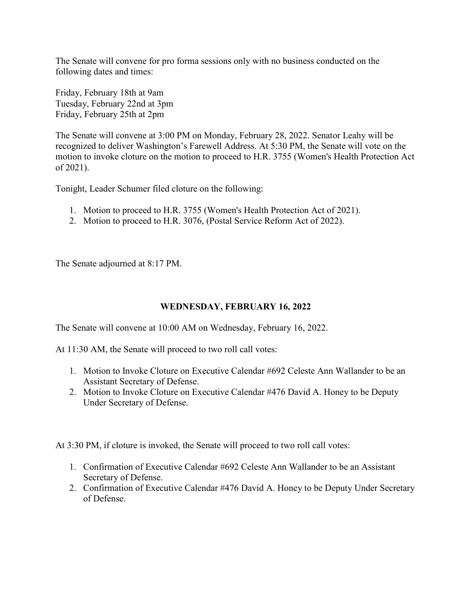The Senate will convene for pro forma sessions only with no business conducted on the following dates and times:

Friday, February 18th at 9am Tuesday, February 22nd at 3pm Friday, February 25th at 2pm

The Senate will convene at 3:00 PM on Monday, February 28, 2022. Senator Leahy will be recognized to deliver Washington's Farewell Address. At 5:30 PM, the Senate will vote on the motion to invoke cloture on the motion to proceed to H.R. 3755 (Women's Health Protection Act of 2021).

Tonight, Leader Schumer filed cloture on the following:

- 1. Motion to proceed to H.R. 3755 (Women's Health Protection Act of 2021).
- 2. Motion to proceed to H.R. 3076, (Postal Service Reform Act of 2022).

The Senate adjourned at 8:17 PM.

## **WEDNESDAY, FEBRUARY 16, 2022**

The Senate will convene at 10:00 AM on Wednesday, February 16, 2022.

At 11:30 AM, the Senate will proceed to two roll call votes:

- 1. Motion to Invoke Cloture on Executive Calendar #692 Celeste Ann Wallander to be an Assistant Secretary of Defense.
- 2. Motion to Invoke Cloture on Executive Calendar #476 David A. Honey to be Deputy Under Secretary of Defense.

At 3:30 PM, if cloture is invoked, the Senate will proceed to two roll call votes:

- 1. Confirmation of Executive Calendar #692 Celeste Ann Wallander to be an Assistant Secretary of Defense.
- 2. Confirmation of Executive Calendar #476 David A. Honey to be Deputy Under Secretary of Defense.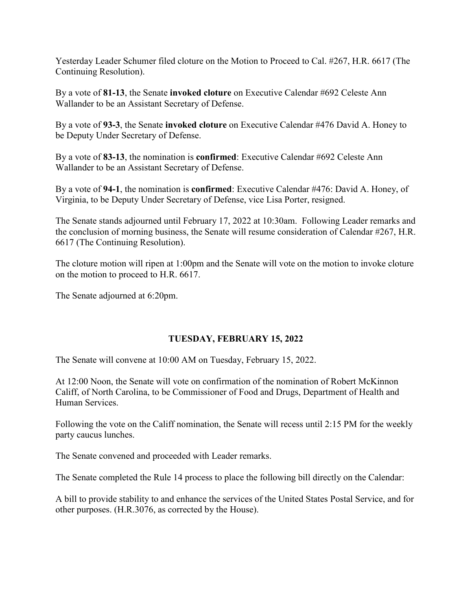Yesterday Leader Schumer filed cloture on the Motion to Proceed to Cal. #267, H.R. 6617 (The Continuing Resolution).

By a vote of **81-13**, the Senate **invoked cloture** on Executive Calendar #692 Celeste Ann Wallander to be an Assistant Secretary of Defense.

By a vote of **93-3**, the Senate **invoked cloture** on Executive Calendar #476 David A. Honey to be Deputy Under Secretary of Defense.

By a vote of **83-13**, the nomination is **confirmed**: Executive Calendar #692 Celeste Ann Wallander to be an Assistant Secretary of Defense.

By a vote of **94-1**, the nomination is **confirmed**: Executive Calendar #476: David A. Honey, of Virginia, to be Deputy Under Secretary of Defense, vice Lisa Porter, resigned.

The Senate stands adjourned until February 17, 2022 at 10:30am. Following Leader remarks and the conclusion of morning business, the Senate will resume consideration of Calendar #267, H.R. 6617 (The Continuing Resolution).

The cloture motion will ripen at 1:00pm and the Senate will vote on the motion to invoke cloture on the motion to proceed to H.R. 6617.

The Senate adjourned at 6:20pm.

## **TUESDAY, FEBRUARY 15, 2022**

The Senate will convene at 10:00 AM on Tuesday, February 15, 2022.

At 12:00 Noon, the Senate will vote on confirmation of the nomination of Robert McKinnon Califf, of North Carolina, to be Commissioner of Food and Drugs, Department of Health and Human Services.

Following the vote on the Califf nomination, the Senate will recess until 2:15 PM for the weekly party caucus lunches.

The Senate convened and proceeded with Leader remarks.

The Senate completed the Rule 14 process to place the following bill directly on the Calendar:

A bill to provide stability to and enhance the services of the United States Postal Service, and for other purposes. (H.R.3076, as corrected by the House).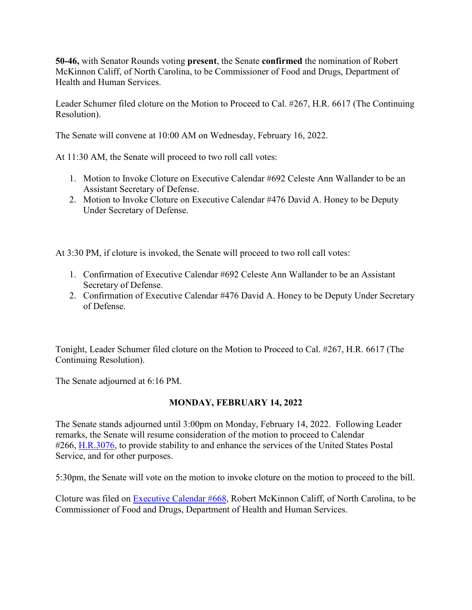**50-46,** with Senator Rounds voting **present**, the Senate **confirmed** the nomination of Robert McKinnon Califf, of North Carolina, to be Commissioner of Food and Drugs, Department of Health and Human Services.

Leader Schumer filed cloture on the Motion to Proceed to Cal. #267, H.R. 6617 (The Continuing Resolution).

The Senate will convene at 10:00 AM on Wednesday, February 16, 2022.

At 11:30 AM, the Senate will proceed to two roll call votes:

- 1. Motion to Invoke Cloture on Executive Calendar #692 Celeste Ann Wallander to be an Assistant Secretary of Defense.
- 2. Motion to Invoke Cloture on Executive Calendar #476 David A. Honey to be Deputy Under Secretary of Defense.

At 3:30 PM, if cloture is invoked, the Senate will proceed to two roll call votes:

- 1. Confirmation of Executive Calendar #692 Celeste Ann Wallander to be an Assistant Secretary of Defense.
- 2. Confirmation of Executive Calendar #476 David A. Honey to be Deputy Under Secretary of Defense.

Tonight, Leader Schumer filed cloture on the Motion to Proceed to Cal. #267, H.R. 6617 (The Continuing Resolution).

The Senate adjourned at 6:16 PM.

# **MONDAY, FEBRUARY 14, 2022**

The Senate stands adjourned until 3:00pm on Monday, February 14, 2022. Following Leader remarks, the Senate will resume consideration of the motion to proceed to Calendar #266, [H.R.3076,](http://www.congress.gov/bill/117th-congress/house-bill/3076) to provide stability to and enhance the services of the United States Postal Service, and for other purposes.

5:30pm, the Senate will vote on the motion to invoke cloture on the motion to proceed to the bill.

Cloture was filed on [Executive Calendar #668,](https://www.congress.gov/search?searchResultViewType=compact&q=%7b%22source%22:%22nominations%22,%22search%22:%22calendar+668%22,%22congress%22:%22117%22%7d) Robert McKinnon Califf, of North Carolina, to be Commissioner of Food and Drugs, Department of Health and Human Services.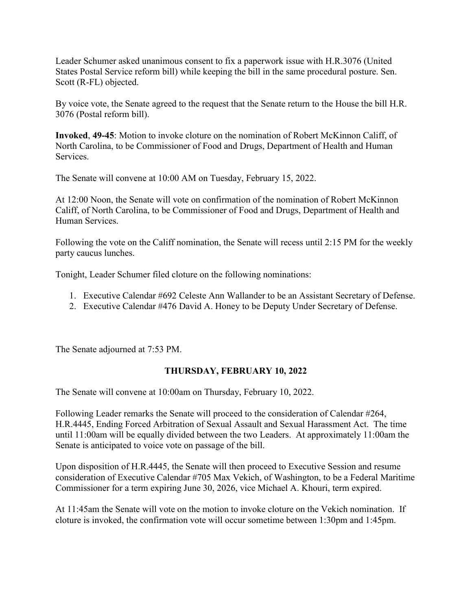Leader Schumer asked unanimous consent to fix a paperwork issue with H.R.3076 (United States Postal Service reform bill) while keeping the bill in the same procedural posture. Sen. Scott (R-FL) objected.

By voice vote, the Senate agreed to the request that the Senate return to the House the bill H.R. 3076 (Postal reform bill).

**Invoked**, **49-45**: Motion to invoke cloture on the nomination of Robert McKinnon Califf, of North Carolina, to be Commissioner of Food and Drugs, Department of Health and Human Services.

The Senate will convene at 10:00 AM on Tuesday, February 15, 2022.

At 12:00 Noon, the Senate will vote on confirmation of the nomination of Robert McKinnon Califf, of North Carolina, to be Commissioner of Food and Drugs, Department of Health and Human Services.

Following the vote on the Califf nomination, the Senate will recess until 2:15 PM for the weekly party caucus lunches.

Tonight, Leader Schumer filed cloture on the following nominations:

- 1. Executive Calendar #692 Celeste Ann Wallander to be an Assistant Secretary of Defense.
- 2. Executive Calendar #476 David A. Honey to be Deputy Under Secretary of Defense.

The Senate adjourned at 7:53 PM.

## **THURSDAY, FEBRUARY 10, 2022**

The Senate will convene at 10:00am on Thursday, February 10, 2022.

Following Leader remarks the Senate will proceed to the consideration of Calendar #264, H.R.4445, Ending Forced Arbitration of Sexual Assault and Sexual Harassment Act. The time until 11:00am will be equally divided between the two Leaders. At approximately 11:00am the Senate is anticipated to voice vote on passage of the bill.

Upon disposition of H.R.4445, the Senate will then proceed to Executive Session and resume consideration of Executive Calendar #705 Max Vekich, of Washington, to be a Federal Maritime Commissioner for a term expiring June 30, 2026, vice Michael A. Khouri, term expired.

At 11:45am the Senate will vote on the motion to invoke cloture on the Vekich nomination. If cloture is invoked, the confirmation vote will occur sometime between 1:30pm and 1:45pm.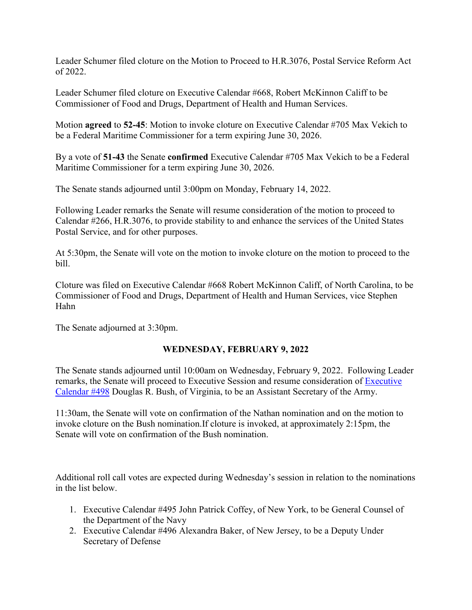Leader Schumer filed cloture on the Motion to Proceed to H.R.3076, Postal Service Reform Act of 2022.

Leader Schumer filed cloture on Executive Calendar #668, Robert McKinnon Califf to be Commissioner of Food and Drugs, Department of Health and Human Services.

Motion **agreed** to **52-45**: Motion to invoke cloture on Executive Calendar #705 Max Vekich to be a Federal Maritime Commissioner for a term expiring June 30, 2026.

By a vote of **51-43** the Senate **confirmed** Executive Calendar #705 Max Vekich to be a Federal Maritime Commissioner for a term expiring June 30, 2026.

The Senate stands adjourned until 3:00pm on Monday, February 14, 2022.

Following Leader remarks the Senate will resume consideration of the motion to proceed to Calendar #266, H.R.3076, to provide stability to and enhance the services of the United States Postal Service, and for other purposes.

At 5:30pm, the Senate will vote on the motion to invoke cloture on the motion to proceed to the bill.

Cloture was filed on Executive Calendar #668 Robert McKinnon Califf, of North Carolina, to be Commissioner of Food and Drugs, Department of Health and Human Services, vice Stephen Hahn

The Senate adjourned at 3:30pm.

## **WEDNESDAY, FEBRUARY 9, 2022**

The Senate stands adjourned until 10:00am on Wednesday, February 9, 2022. Following Leader remarks, the Senate will proceed to Executive Session and resume consideration of [Executive](https://www.congress.gov/search?searchResultViewType=compact&q=%7b%22source%22:%22nominations%22,%22search%22:%22calendar+498%22,%22congress%22:%22117%22%7d)  [Calendar #498](https://www.congress.gov/search?searchResultViewType=compact&q=%7b%22source%22:%22nominations%22,%22search%22:%22calendar+498%22,%22congress%22:%22117%22%7d) Douglas R. Bush, of Virginia, to be an Assistant Secretary of the Army.

11:30am, the Senate will vote on confirmation of the Nathan nomination and on the motion to invoke cloture on the Bush nomination.If cloture is invoked, at approximately 2:15pm, the Senate will vote on confirmation of the Bush nomination.

Additional roll call votes are expected during Wednesday's session in relation to the nominations in the list below.

- 1. Executive Calendar #495 John Patrick Coffey, of New York, to be General Counsel of the Department of the Navy
- 2. Executive Calendar #496 Alexandra Baker, of New Jersey, to be a Deputy Under Secretary of Defense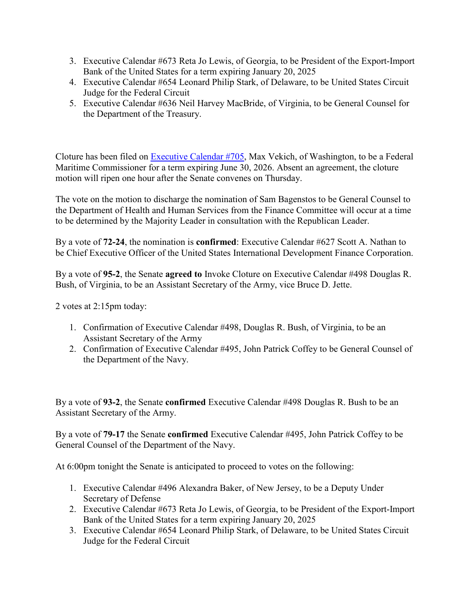- 3. Executive Calendar #673 Reta Jo Lewis, of Georgia, to be President of the Export-Import Bank of the United States for a term expiring January 20, 2025
- 4. Executive Calendar #654 Leonard Philip Stark, of Delaware, to be United States Circuit Judge for the Federal Circuit
- 5. Executive Calendar #636 Neil Harvey MacBride, of Virginia, to be General Counsel for the Department of the Treasury.

Cloture has been filed on [Executive Calendar #705,](https://www.congress.gov/search?searchResultViewType=compact&q=%7b%22source%22:%22nominations%22,%22search%22:%22calendar+705%22,%22congress%22:%22117%22%7d) Max Vekich, of Washington, to be a Federal Maritime Commissioner for a term expiring June 30, 2026. Absent an agreement, the cloture motion will ripen one hour after the Senate convenes on Thursday.

The vote on the motion to discharge the nomination of Sam Bagenstos to be General Counsel to the Department of Health and Human Services from the Finance Committee will occur at a time to be determined by the Majority Leader in consultation with the Republican Leader.

By a vote of **72-24**, the nomination is **confirmed**: Executive Calendar #627 Scott A. Nathan to be Chief Executive Officer of the United States International Development Finance Corporation.

By a vote of **95-2**, the Senate **agreed to** Invoke Cloture on Executive Calendar #498 Douglas R. Bush, of Virginia, to be an Assistant Secretary of the Army, vice Bruce D. Jette.

2 votes at 2:15pm today:

- 1. Confirmation of Executive Calendar #498, Douglas R. Bush, of Virginia, to be an Assistant Secretary of the Army
- 2. Confirmation of Executive Calendar #495, John Patrick Coffey to be General Counsel of the Department of the Navy.

By a vote of **93-2**, the Senate **confirmed** Executive Calendar #498 Douglas R. Bush to be an Assistant Secretary of the Army.

By a vote of **79-17** the Senate **confirmed** Executive Calendar #495, John Patrick Coffey to be General Counsel of the Department of the Navy.

At 6:00pm tonight the Senate is anticipated to proceed to votes on the following:

- 1. Executive Calendar #496 Alexandra Baker, of New Jersey, to be a Deputy Under Secretary of Defense
- 2. Executive Calendar #673 Reta Jo Lewis, of Georgia, to be President of the Export-Import Bank of the United States for a term expiring January 20, 2025
- 3. Executive Calendar #654 Leonard Philip Stark, of Delaware, to be United States Circuit Judge for the Federal Circuit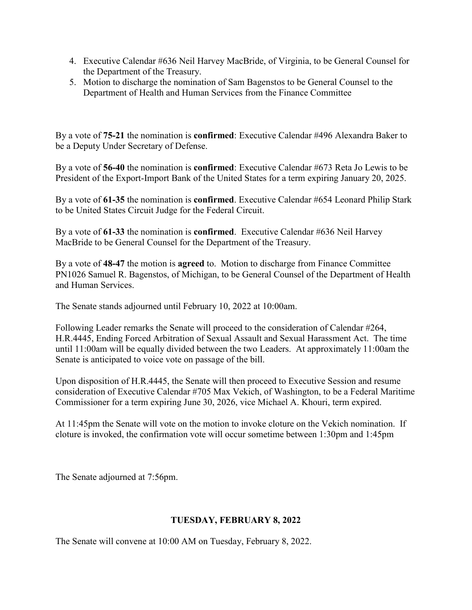- 4. Executive Calendar #636 Neil Harvey MacBride, of Virginia, to be General Counsel for the Department of the Treasury.
- 5. Motion to discharge the nomination of Sam Bagenstos to be General Counsel to the Department of Health and Human Services from the Finance Committee

By a vote of **75-21** the nomination is **confirmed**: Executive Calendar #496 Alexandra Baker to be a Deputy Under Secretary of Defense.

By a vote of **56-40** the nomination is **confirmed**: Executive Calendar #673 Reta Jo Lewis to be President of the Export-Import Bank of the United States for a term expiring January 20, 2025.

By a vote of **61-35** the nomination is **confirmed**. Executive Calendar #654 Leonard Philip Stark to be United States Circuit Judge for the Federal Circuit.

By a vote of **61-33** the nomination is **confirmed**. Executive Calendar #636 Neil Harvey MacBride to be General Counsel for the Department of the Treasury.

By a vote of **48-47** the motion is **agreed** to. Motion to discharge from Finance Committee PN1026 Samuel R. Bagenstos, of Michigan, to be General Counsel of the Department of Health and Human Services.

The Senate stands adjourned until February 10, 2022 at 10:00am.

Following Leader remarks the Senate will proceed to the consideration of Calendar #264, H.R.4445, Ending Forced Arbitration of Sexual Assault and Sexual Harassment Act. The time until 11:00am will be equally divided between the two Leaders. At approximately 11:00am the Senate is anticipated to voice vote on passage of the bill.

Upon disposition of H.R.4445, the Senate will then proceed to Executive Session and resume consideration of Executive Calendar #705 Max Vekich, of Washington, to be a Federal Maritime Commissioner for a term expiring June 30, 2026, vice Michael A. Khouri, term expired.

At 11:45pm the Senate will vote on the motion to invoke cloture on the Vekich nomination. If cloture is invoked, the confirmation vote will occur sometime between 1:30pm and 1:45pm

The Senate adjourned at 7:56pm.

## **TUESDAY, FEBRUARY 8, 2022**

The Senate will convene at 10:00 AM on Tuesday, February 8, 2022.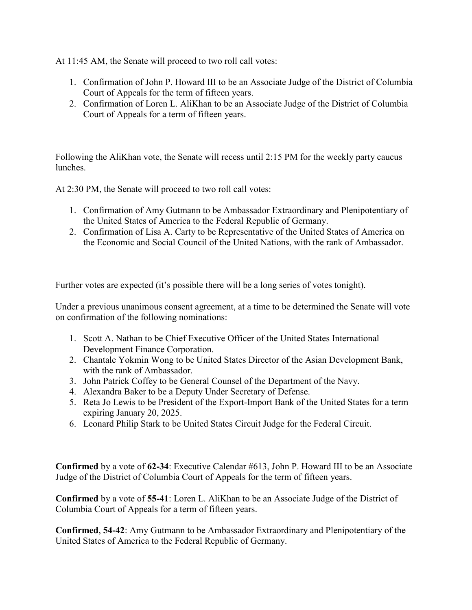At 11:45 AM, the Senate will proceed to two roll call votes:

- 1. Confirmation of John P. Howard III to be an Associate Judge of the District of Columbia Court of Appeals for the term of fifteen years.
- 2. Confirmation of Loren L. AliKhan to be an Associate Judge of the District of Columbia Court of Appeals for a term of fifteen years.

Following the AliKhan vote, the Senate will recess until 2:15 PM for the weekly party caucus lunches.

At 2:30 PM, the Senate will proceed to two roll call votes:

- 1. Confirmation of Amy Gutmann to be Ambassador Extraordinary and Plenipotentiary of the United States of America to the Federal Republic of Germany.
- 2. Confirmation of Lisa A. Carty to be Representative of the United States of America on the Economic and Social Council of the United Nations, with the rank of Ambassador.

Further votes are expected (it's possible there will be a long series of votes tonight).

Under a previous unanimous consent agreement, at a time to be determined the Senate will vote on confirmation of the following nominations:

- 1. Scott A. Nathan to be Chief Executive Officer of the United States International Development Finance Corporation.
- 2. Chantale Yokmin Wong to be United States Director of the Asian Development Bank, with the rank of Ambassador.
- 3. John Patrick Coffey to be General Counsel of the Department of the Navy.
- 4. Alexandra Baker to be a Deputy Under Secretary of Defense.
- 5. Reta Jo Lewis to be President of the Export-Import Bank of the United States for a term expiring January 20, 2025.
- 6. Leonard Philip Stark to be United States Circuit Judge for the Federal Circuit.

**Confirmed** by a vote of **62-34**: Executive Calendar #613, John P. Howard III to be an Associate Judge of the District of Columbia Court of Appeals for the term of fifteen years.

**Confirmed** by a vote of **55-41**: Loren L. AliKhan to be an Associate Judge of the District of Columbia Court of Appeals for a term of fifteen years.

**Confirmed**, **54-42**: Amy Gutmann to be Ambassador Extraordinary and Plenipotentiary of the United States of America to the Federal Republic of Germany.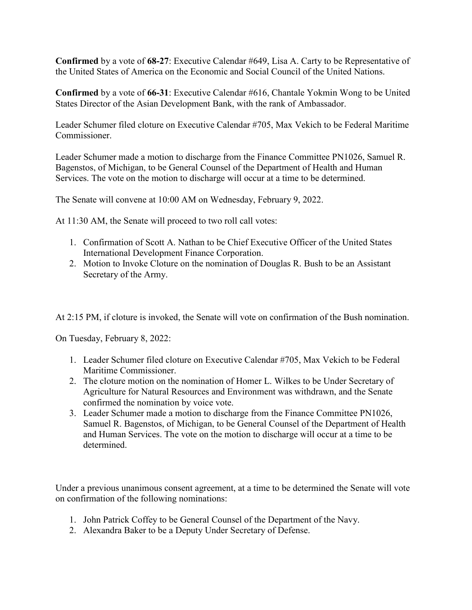**Confirmed** by a vote of **68-27**: Executive Calendar #649, Lisa A. Carty to be Representative of the United States of America on the Economic and Social Council of the United Nations.

**Confirmed** by a vote of **66-31**: Executive Calendar #616, Chantale Yokmin Wong to be United States Director of the Asian Development Bank, with the rank of Ambassador.

Leader Schumer filed cloture on Executive Calendar #705, Max Vekich to be Federal Maritime Commissioner.

Leader Schumer made a motion to discharge from the Finance Committee PN1026, Samuel R. Bagenstos, of Michigan, to be General Counsel of the Department of Health and Human Services. The vote on the motion to discharge will occur at a time to be determined.

The Senate will convene at 10:00 AM on Wednesday, February 9, 2022.

At 11:30 AM, the Senate will proceed to two roll call votes:

- 1. Confirmation of Scott A. Nathan to be Chief Executive Officer of the United States International Development Finance Corporation.
- 2. Motion to Invoke Cloture on the nomination of Douglas R. Bush to be an Assistant Secretary of the Army.

At 2:15 PM, if cloture is invoked, the Senate will vote on confirmation of the Bush nomination.

On Tuesday, February 8, 2022:

- 1. Leader Schumer filed cloture on Executive Calendar #705, Max Vekich to be Federal Maritime Commissioner.
- 2. The cloture motion on the nomination of Homer L. Wilkes to be Under Secretary of Agriculture for Natural Resources and Environment was withdrawn, and the Senate confirmed the nomination by voice vote.
- 3. Leader Schumer made a motion to discharge from the Finance Committee PN1026, Samuel R. Bagenstos, of Michigan, to be General Counsel of the Department of Health and Human Services. The vote on the motion to discharge will occur at a time to be determined.

Under a previous unanimous consent agreement, at a time to be determined the Senate will vote on confirmation of the following nominations:

- 1. John Patrick Coffey to be General Counsel of the Department of the Navy.
- 2. Alexandra Baker to be a Deputy Under Secretary of Defense.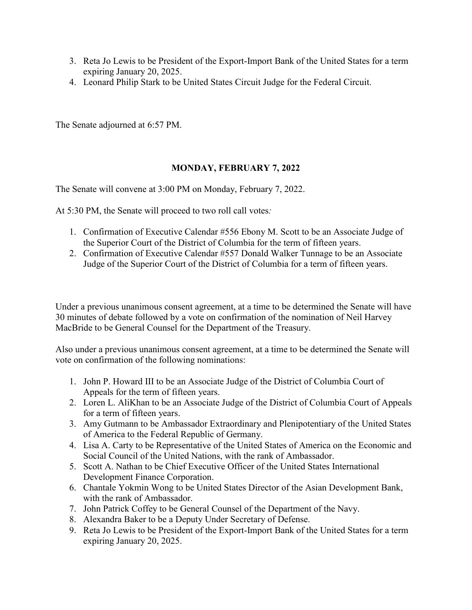- 3. Reta Jo Lewis to be President of the Export-Import Bank of the United States for a term expiring January 20, 2025.
- 4. Leonard Philip Stark to be United States Circuit Judge for the Federal Circuit.

The Senate adjourned at 6:57 PM.

## **MONDAY, FEBRUARY 7, 2022**

The Senate will convene at 3:00 PM on Monday, February 7, 2022.

At 5:30 PM, the Senate will proceed to two roll call votes*:*

- 1. Confirmation of Executive Calendar #556 Ebony M. Scott to be an Associate Judge of the Superior Court of the District of Columbia for the term of fifteen years.
- 2. Confirmation of Executive Calendar #557 Donald Walker Tunnage to be an Associate Judge of the Superior Court of the District of Columbia for a term of fifteen years.

Under a previous unanimous consent agreement, at a time to be determined the Senate will have 30 minutes of debate followed by a vote on confirmation of the nomination of Neil Harvey MacBride to be General Counsel for the Department of the Treasury.

Also under a previous unanimous consent agreement, at a time to be determined the Senate will vote on confirmation of the following nominations:

- 1. John P. Howard III to be an Associate Judge of the District of Columbia Court of Appeals for the term of fifteen years.
- 2. Loren L. AliKhan to be an Associate Judge of the District of Columbia Court of Appeals for a term of fifteen years.
- 3. Amy Gutmann to be Ambassador Extraordinary and Plenipotentiary of the United States of America to the Federal Republic of Germany.
- 4. Lisa A. Carty to be Representative of the United States of America on the Economic and Social Council of the United Nations, with the rank of Ambassador.
- 5. Scott A. Nathan to be Chief Executive Officer of the United States International Development Finance Corporation.
- 6. Chantale Yokmin Wong to be United States Director of the Asian Development Bank, with the rank of Ambassador.
- 7. John Patrick Coffey to be General Counsel of the Department of the Navy.
- 8. Alexandra Baker to be a Deputy Under Secretary of Defense.
- 9. Reta Jo Lewis to be President of the Export-Import Bank of the United States for a term expiring January 20, 2025.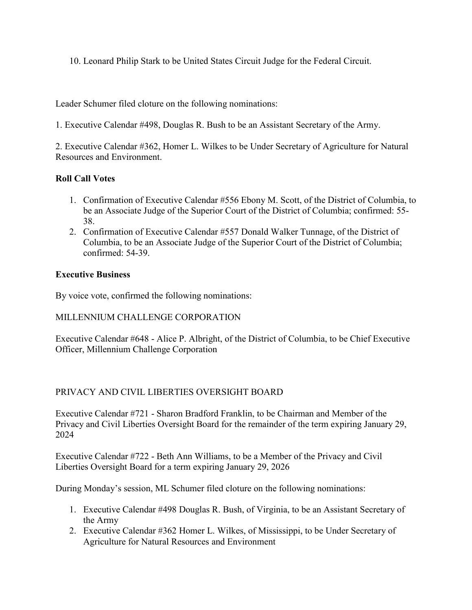10. Leonard Philip Stark to be United States Circuit Judge for the Federal Circuit.

Leader Schumer filed cloture on the following nominations:

1. Executive Calendar #498, Douglas R. Bush to be an Assistant Secretary of the Army.

2. Executive Calendar #362, Homer L. Wilkes to be Under Secretary of Agriculture for Natural Resources and Environment.

## **Roll Call Votes**

- 1. Confirmation of Executive Calendar #556 Ebony M. Scott, of the District of Columbia, to be an Associate Judge of the Superior Court of the District of Columbia; confirmed: 55- 38.
- 2. Confirmation of Executive Calendar #557 Donald Walker Tunnage, of the District of Columbia, to be an Associate Judge of the Superior Court of the District of Columbia; confirmed: 54-39.

## **Executive Business**

By voice vote, confirmed the following nominations:

# MILLENNIUM CHALLENGE CORPORATION

Executive Calendar #648 - Alice P. Albright, of the District of Columbia, to be Chief Executive Officer, Millennium Challenge Corporation

# PRIVACY AND CIVIL LIBERTIES OVERSIGHT BOARD

Executive Calendar #721 - Sharon Bradford Franklin, to be Chairman and Member of the Privacy and Civil Liberties Oversight Board for the remainder of the term expiring January 29, 2024

Executive Calendar #722 - Beth Ann Williams, to be a Member of the Privacy and Civil Liberties Oversight Board for a term expiring January 29, 2026

During Monday's session, ML Schumer filed cloture on the following nominations:

- 1. Executive Calendar #498 Douglas R. Bush, of Virginia, to be an Assistant Secretary of the Army
- 2. Executive Calendar #362 Homer L. Wilkes, of Mississippi, to be Under Secretary of Agriculture for Natural Resources and Environment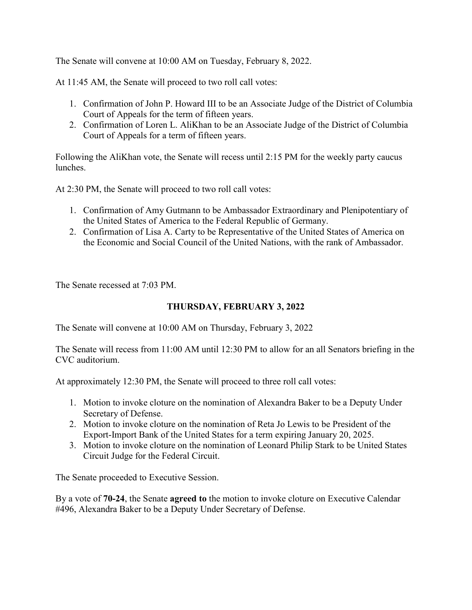The Senate will convene at 10:00 AM on Tuesday, February 8, 2022.

At 11:45 AM, the Senate will proceed to two roll call votes:

- 1. Confirmation of John P. Howard III to be an Associate Judge of the District of Columbia Court of Appeals for the term of fifteen years.
- 2. Confirmation of Loren L. AliKhan to be an Associate Judge of the District of Columbia Court of Appeals for a term of fifteen years.

Following the AliKhan vote, the Senate will recess until 2:15 PM for the weekly party caucus lunches.

At 2:30 PM, the Senate will proceed to two roll call votes:

- 1. Confirmation of Amy Gutmann to be Ambassador Extraordinary and Plenipotentiary of the United States of America to the Federal Republic of Germany.
- 2. Confirmation of Lisa A. Carty to be Representative of the United States of America on the Economic and Social Council of the United Nations, with the rank of Ambassador.

The Senate recessed at 7:03 PM.

#### **THURSDAY, FEBRUARY 3, 2022**

The Senate will convene at 10:00 AM on Thursday, February 3, 2022

The Senate will recess from 11:00 AM until 12:30 PM to allow for an all Senators briefing in the CVC auditorium.

At approximately 12:30 PM, the Senate will proceed to three roll call votes:

- 1. Motion to invoke cloture on the nomination of Alexandra Baker to be a Deputy Under Secretary of Defense.
- 2. Motion to invoke cloture on the nomination of Reta Jo Lewis to be President of the Export-Import Bank of the United States for a term expiring January 20, 2025.
- 3. Motion to invoke cloture on the nomination of Leonard Philip Stark to be United States Circuit Judge for the Federal Circuit.

The Senate proceeded to Executive Session.

By a vote of **70-24**, the Senate **agreed to** the motion to invoke cloture on Executive Calendar #496, Alexandra Baker to be a Deputy Under Secretary of Defense.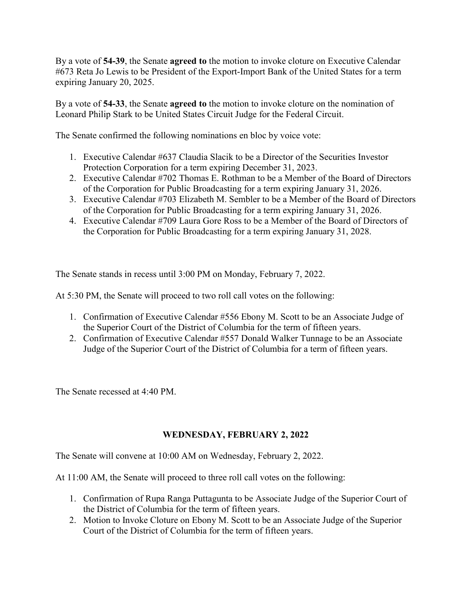By a vote of **54-39**, the Senate **agreed to** the motion to invoke cloture on Executive Calendar #673 Reta Jo Lewis to be President of the Export-Import Bank of the United States for a term expiring January 20, 2025.

By a vote of **54-33**, the Senate **agreed to** the motion to invoke cloture on the nomination of Leonard Philip Stark to be United States Circuit Judge for the Federal Circuit.

The Senate confirmed the following nominations en bloc by voice vote:

- 1. Executive Calendar #637 Claudia Slacik to be a Director of the Securities Investor Protection Corporation for a term expiring December 31, 2023.
- 2. Executive Calendar #702 Thomas E. Rothman to be a Member of the Board of Directors of the Corporation for Public Broadcasting for a term expiring January 31, 2026.
- 3. Executive Calendar #703 Elizabeth M. Sembler to be a Member of the Board of Directors of the Corporation for Public Broadcasting for a term expiring January 31, 2026.
- 4. Executive Calendar #709 Laura Gore Ross to be a Member of the Board of Directors of the Corporation for Public Broadcasting for a term expiring January 31, 2028.

The Senate stands in recess until 3:00 PM on Monday, February 7, 2022.

At 5:30 PM, the Senate will proceed to two roll call votes on the following:

- 1. Confirmation of Executive Calendar #556 Ebony M. Scott to be an Associate Judge of the Superior Court of the District of Columbia for the term of fifteen years.
- 2. Confirmation of Executive Calendar #557 Donald Walker Tunnage to be an Associate Judge of the Superior Court of the District of Columbia for a term of fifteen years.

The Senate recessed at 4:40 PM.

## **WEDNESDAY, FEBRUARY 2, 2022**

The Senate will convene at 10:00 AM on Wednesday, February 2, 2022.

At 11:00 AM, the Senate will proceed to three roll call votes on the following:

- 1. Confirmation of Rupa Ranga Puttagunta to be Associate Judge of the Superior Court of the District of Columbia for the term of fifteen years.
- 2. Motion to Invoke Cloture on Ebony M. Scott to be an Associate Judge of the Superior Court of the District of Columbia for the term of fifteen years.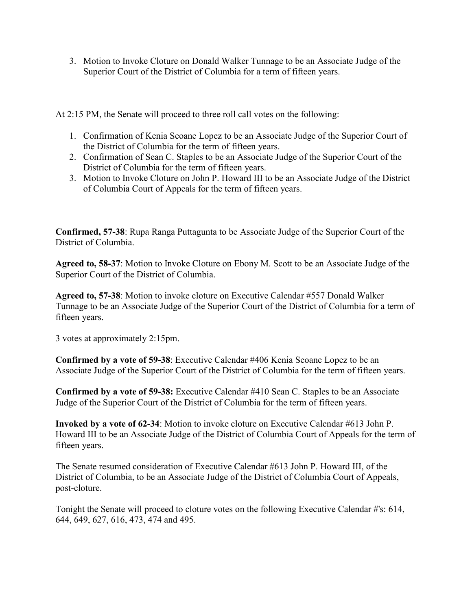3. Motion to Invoke Cloture on Donald Walker Tunnage to be an Associate Judge of the Superior Court of the District of Columbia for a term of fifteen years.

At 2:15 PM, the Senate will proceed to three roll call votes on the following:

- 1. Confirmation of Kenia Seoane Lopez to be an Associate Judge of the Superior Court of the District of Columbia for the term of fifteen years.
- 2. Confirmation of Sean C. Staples to be an Associate Judge of the Superior Court of the District of Columbia for the term of fifteen years.
- 3. Motion to Invoke Cloture on John P. Howard III to be an Associate Judge of the District of Columbia Court of Appeals for the term of fifteen years.

**Confirmed, 57-38**: Rupa Ranga Puttagunta to be Associate Judge of the Superior Court of the District of Columbia.

**Agreed to, 58-37**: Motion to Invoke Cloture on Ebony M. Scott to be an Associate Judge of the Superior Court of the District of Columbia.

**Agreed to, 57-38**: Motion to invoke cloture on Executive Calendar #557 Donald Walker Tunnage to be an Associate Judge of the Superior Court of the District of Columbia for a term of fifteen years.

3 votes at approximately 2:15pm.

**Confirmed by a vote of 59-38**: Executive Calendar #406 Kenia Seoane Lopez to be an Associate Judge of the Superior Court of the District of Columbia for the term of fifteen years.

**Confirmed by a vote of 59-38:** Executive Calendar #410 Sean C. Staples to be an Associate Judge of the Superior Court of the District of Columbia for the term of fifteen years.

**Invoked by a vote of 62-34**: Motion to invoke cloture on Executive Calendar #613 John P. Howard III to be an Associate Judge of the District of Columbia Court of Appeals for the term of fifteen years.

The Senate resumed consideration of Executive Calendar #613 John P. Howard III, of the District of Columbia, to be an Associate Judge of the District of Columbia Court of Appeals, post-cloture.

Tonight the Senate will proceed to cloture votes on the following Executive Calendar #'s: 614, 644, 649, 627, 616, 473, 474 and 495.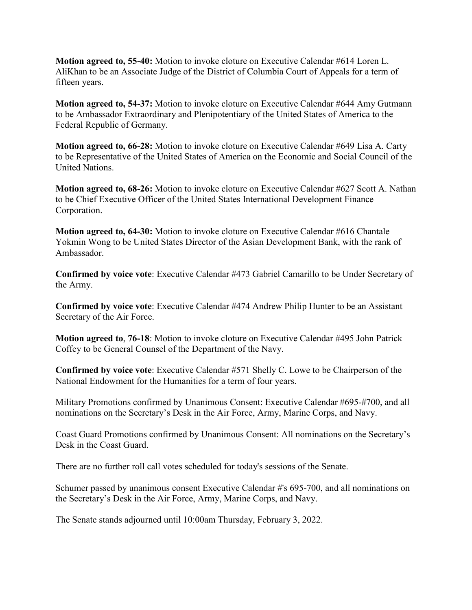**Motion agreed to, 55-40:** Motion to invoke cloture on Executive Calendar #614 Loren L. AliKhan to be an Associate Judge of the District of Columbia Court of Appeals for a term of fifteen years.

**Motion agreed to, 54-37:** Motion to invoke cloture on Executive Calendar #644 Amy Gutmann to be Ambassador Extraordinary and Plenipotentiary of the United States of America to the Federal Republic of Germany.

**Motion agreed to, 66-28:** Motion to invoke cloture on Executive Calendar #649 Lisa A. Carty to be Representative of the United States of America on the Economic and Social Council of the United Nations.

**Motion agreed to, 68-26:** Motion to invoke cloture on Executive Calendar #627 Scott A. Nathan to be Chief Executive Officer of the United States International Development Finance Corporation.

**Motion agreed to, 64-30:** Motion to invoke cloture on Executive Calendar #616 Chantale Yokmin Wong to be United States Director of the Asian Development Bank, with the rank of Ambassador.

**Confirmed by voice vote**: Executive Calendar #473 Gabriel Camarillo to be Under Secretary of the Army.

**Confirmed by voice vote**: Executive Calendar #474 Andrew Philip Hunter to be an Assistant Secretary of the Air Force.

**Motion agreed to**, **76-18**: Motion to invoke cloture on Executive Calendar #495 John Patrick Coffey to be General Counsel of the Department of the Navy.

**Confirmed by voice vote**: Executive Calendar #571 Shelly C. Lowe to be Chairperson of the National Endowment for the Humanities for a term of four years.

Military Promotions confirmed by Unanimous Consent: Executive Calendar #695-#700, and all nominations on the Secretary's Desk in the Air Force, Army, Marine Corps, and Navy.

Coast Guard Promotions confirmed by Unanimous Consent: All nominations on the Secretary's Desk in the Coast Guard.

There are no further roll call votes scheduled for today's sessions of the Senate.

Schumer passed by unanimous consent Executive Calendar #'s 695-700, and all nominations on the Secretary's Desk in the Air Force, Army, Marine Corps, and Navy.

The Senate stands adjourned until 10:00am Thursday, February 3, 2022.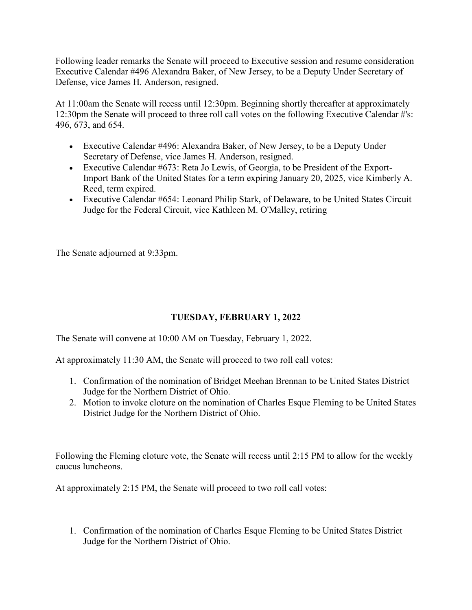Following leader remarks the Senate will proceed to Executive session and resume consideration Executive Calendar #496 Alexandra Baker, of New Jersey, to be a Deputy Under Secretary of Defense, vice James H. Anderson, resigned.

At 11:00am the Senate will recess until 12:30pm. Beginning shortly thereafter at approximately 12:30pm the Senate will proceed to three roll call votes on the following Executive Calendar #'s: 496, 673, and 654.

- Executive Calendar #496: Alexandra Baker, of New Jersey, to be a Deputy Under Secretary of Defense, vice James H. Anderson, resigned.
- Executive Calendar #673: Reta Jo Lewis, of Georgia, to be President of the Export-Import Bank of the United States for a term expiring January 20, 2025, vice Kimberly A. Reed, term expired.
- Executive Calendar #654: Leonard Philip Stark, of Delaware, to be United States Circuit Judge for the Federal Circuit, vice Kathleen M. O'Malley, retiring

The Senate adjourned at 9:33pm.

# **TUESDAY, FEBRUARY 1, 2022**

The Senate will convene at 10:00 AM on Tuesday, February 1, 2022.

At approximately 11:30 AM, the Senate will proceed to two roll call votes:

- 1. Confirmation of the nomination of Bridget Meehan Brennan to be United States District Judge for the Northern District of Ohio.
- 2. Motion to invoke cloture on the nomination of Charles Esque Fleming to be United States District Judge for the Northern District of Ohio.

Following the Fleming cloture vote, the Senate will recess until 2:15 PM to allow for the weekly caucus luncheons.

At approximately 2:15 PM, the Senate will proceed to two roll call votes:

1. Confirmation of the nomination of Charles Esque Fleming to be United States District Judge for the Northern District of Ohio.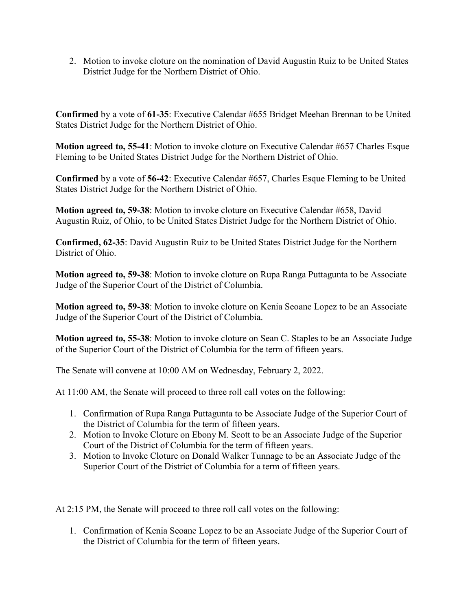2. Motion to invoke cloture on the nomination of David Augustin Ruiz to be United States District Judge for the Northern District of Ohio.

**Confirmed** by a vote of **61-35**: Executive Calendar #655 Bridget Meehan Brennan to be United States District Judge for the Northern District of Ohio.

**Motion agreed to, 55-41**: Motion to invoke cloture on Executive Calendar #657 Charles Esque Fleming to be United States District Judge for the Northern District of Ohio.

**Confirmed** by a vote of **56-42**: Executive Calendar #657, Charles Esque Fleming to be United States District Judge for the Northern District of Ohio.

**Motion agreed to, 59-38:** Motion to invoke cloture on Executive Calendar #658, David Augustin Ruiz, of Ohio, to be United States District Judge for the Northern District of Ohio.

**Confirmed, 62-35**: David Augustin Ruiz to be United States District Judge for the Northern District of Ohio.

**Motion agreed to, 59-38**: Motion to invoke cloture on Rupa Ranga Puttagunta to be Associate Judge of the Superior Court of the District of Columbia.

**Motion agreed to, 59-38**: Motion to invoke cloture on Kenia Seoane Lopez to be an Associate Judge of the Superior Court of the District of Columbia.

**Motion agreed to, 55-38**: Motion to invoke cloture on Sean C. Staples to be an Associate Judge of the Superior Court of the District of Columbia for the term of fifteen years.

The Senate will convene at 10:00 AM on Wednesday, February 2, 2022.

At 11:00 AM, the Senate will proceed to three roll call votes on the following:

- 1. Confirmation of Rupa Ranga Puttagunta to be Associate Judge of the Superior Court of the District of Columbia for the term of fifteen years.
- 2. Motion to Invoke Cloture on Ebony M. Scott to be an Associate Judge of the Superior Court of the District of Columbia for the term of fifteen years.
- 3. Motion to Invoke Cloture on Donald Walker Tunnage to be an Associate Judge of the Superior Court of the District of Columbia for a term of fifteen years.

At 2:15 PM, the Senate will proceed to three roll call votes on the following:

1. Confirmation of Kenia Seoane Lopez to be an Associate Judge of the Superior Court of the District of Columbia for the term of fifteen years.